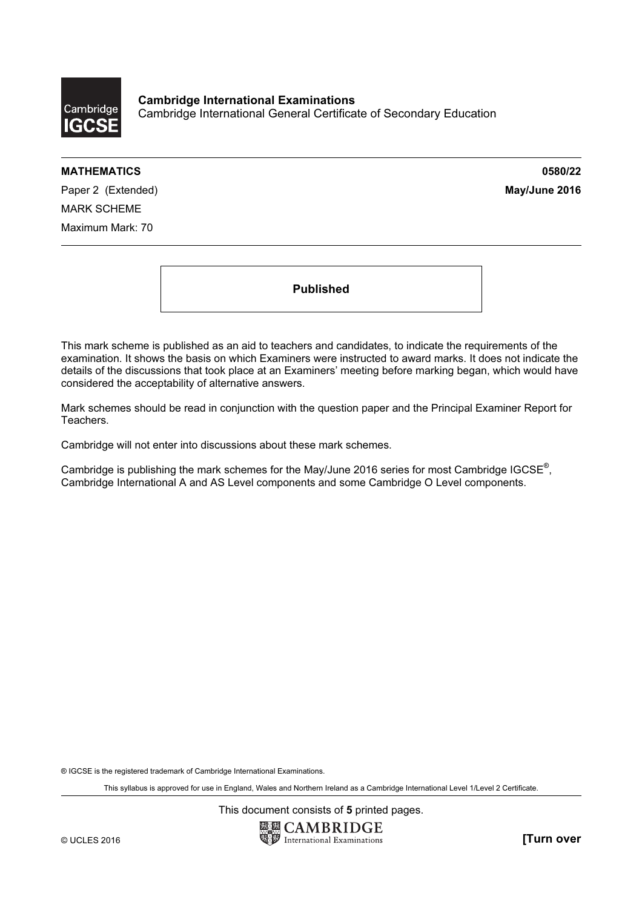

Cambridge International Examinations Cambridge International General Certificate of Secondary Education

## MATHEMATICS 0580/22

Paper 2 (Extended) and the extended of the extended of the extended of the extended of the extended of the extended of the extended of the extended of the extended of the extended of the extended of the extended of the ext MARK SCHEME Maximum Mark: 70

Published

This mark scheme is published as an aid to teachers and candidates, to indicate the requirements of the examination. It shows the basis on which Examiners were instructed to award marks. It does not indicate the details of the discussions that took place at an Examiners' meeting before marking began, which would have considered the acceptability of alternative answers.

Mark schemes should be read in conjunction with the question paper and the Principal Examiner Report for Teachers.

Cambridge will not enter into discussions about these mark schemes.

Cambridge is publishing the mark schemes for the May/June 2016 series for most Cambridge IGCSE*®* , Cambridge International A and AS Level components and some Cambridge O Level components.

® IGCSE is the registered trademark of Cambridge International Examinations.

This syllabus is approved for use in England, Wales and Northern Ireland as a Cambridge International Level 1/Level 2 Certificate.

This document consists of 5 printed pages.

**EX CAMBRIDGE** © UCLES 2016 **and Contract Contract Contract Contract Contract Contract Contract Contract Contract Contract Contract Contract Contract Contract Contract Contract Contract Contract Contract Contract Contract Contract Contr**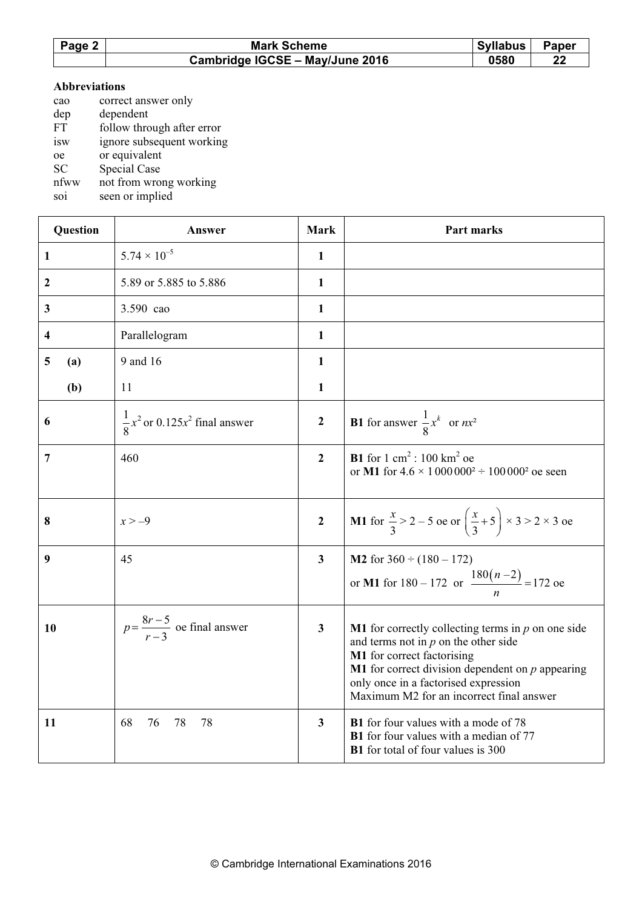| Page 2 | <b>Mark Scheme</b>              | <b>Syllabus</b> | <b>Paper</b> |
|--------|---------------------------------|-----------------|--------------|
|        | Cambridge IGCSE - May/June 2016 | 0580            | 22           |

## Abbreviations

| cao       | correct answer only        |
|-----------|----------------------------|
| dep       | dependent                  |
| <b>FT</b> | follow through after error |
| isw       | ignore subsequent working  |
| oe        | or equivalent              |
| <b>SC</b> | Special Case               |
| nfww      | not from wrong working     |
|           | $\cdots$                   |

soi seen or implied

| <b>Question</b> | Answer                                       | <b>Mark</b>             | Part marks                                                                                                                                                                                                                                                                           |
|-----------------|----------------------------------------------|-------------------------|--------------------------------------------------------------------------------------------------------------------------------------------------------------------------------------------------------------------------------------------------------------------------------------|
| 1               | $5.74 \times 10^{-5}$                        | 1                       |                                                                                                                                                                                                                                                                                      |
| $\mathbf{2}$    | 5.89 or 5.885 to 5.886                       | 1                       |                                                                                                                                                                                                                                                                                      |
| $\mathbf{3}$    | 3.590 cao                                    | 1                       |                                                                                                                                                                                                                                                                                      |
| 4               | Parallelogram                                | $\mathbf{1}$            |                                                                                                                                                                                                                                                                                      |
| 5<br>(a)        | 9 and 16                                     | $\mathbf{1}$            |                                                                                                                                                                                                                                                                                      |
| (b)             | 11                                           | 1                       |                                                                                                                                                                                                                                                                                      |
| 6               | $\frac{1}{8}x^2$ or 0.125 $x^2$ final answer | $\mathbf{2}$            | <b>B1</b> for answer $\frac{1}{8}x^k$ or $nx^2$                                                                                                                                                                                                                                      |
| $\overline{7}$  | 460                                          | $\overline{2}$          | <b>B1</b> for $1 \text{ cm}^2$ : 100 km <sup>2</sup> oe<br>or M1 for $4.6 \times 1000000^2 \div 100000^2$ oe seen                                                                                                                                                                    |
| 8               | $x > -9$                                     | $\mathbf{2}$            | <b>M1</b> for $\frac{x}{3} > 2 - 5$ oe or $\left(\frac{x}{3} + 5\right) \times 3 > 2 \times 3$ oe                                                                                                                                                                                    |
| 9               | 45                                           | $\mathbf{3}$            | <b>M2</b> for $360 \div (180 - 172)$<br>or M1 for $180 - 172$ or $\frac{180(n-2)}{n} = 172$ oe                                                                                                                                                                                       |
| 10              | $p = \frac{8r-5}{r-3}$ oe final answer       | $\overline{\mathbf{3}}$ | <b>M1</b> for correctly collecting terms in $p$ on one side<br>and terms not in $p$ on the other side<br>M1 for correct factorising<br><b>M1</b> for correct division dependent on $p$ appearing<br>only once in a factorised expression<br>Maximum M2 for an incorrect final answer |
| 11              | 68<br>76<br>78<br>78                         | $\overline{\mathbf{3}}$ | <b>B1</b> for four values with a mode of 78<br><b>B1</b> for four values with a median of 77<br><b>B1</b> for total of four values is 300                                                                                                                                            |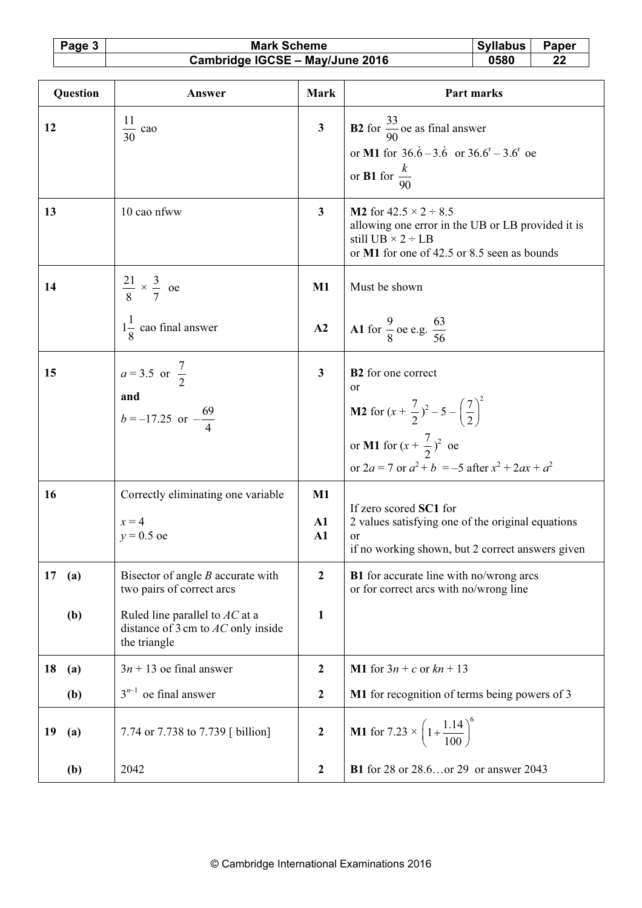Page 3 Mark Scheme Syllabus Paper<br>Cambridge IGCSE – May/June 2016 0580 22 Cambridge IGCSE - May/June 2016

| Question   | Answer                                                                                   | <b>Mark</b>                 | Part marks                                                                                                                                                                                             |
|------------|------------------------------------------------------------------------------------------|-----------------------------|--------------------------------------------------------------------------------------------------------------------------------------------------------------------------------------------------------|
| 12         | 11<br>$\frac{11}{30}$ cao                                                                | $\overline{\mathbf{3}}$     | <b>B2</b> for $\frac{33}{90}$ oe as final answer<br>or M1 for $36.\dot{6} - 3.\dot{6}$ or $36.\dot{6} - 3.\dot{6}$ oe<br>or <b>B1</b> for $\frac{k}{90}$                                               |
| 13         | 10 cao nfww                                                                              | $\overline{\mathbf{3}}$     | <b>M2</b> for $42.5 \times 2 \div 8.5$<br>allowing one error in the UB or LB provided it is<br>still UB $\times$ 2 ÷ LB<br>or M1 for one of 42.5 or 8.5 seen as bounds                                 |
| 14         | $\frac{21}{8} \times \frac{3}{7}$ oe                                                     | $M1$                        | Must be shown                                                                                                                                                                                          |
|            | $1\frac{1}{2}$ cao final answer                                                          | A2                          | A1 for $\frac{9}{8}$ oe e.g. $\frac{63}{56}$                                                                                                                                                           |
| 15         | $a = 3.5$ or $\frac{7}{2}$<br>and<br>$b = -17.25$ or $-\frac{69}{4}$                     | $\mathbf{3}$                | B2 for one correct<br><sub>or</sub><br><b>M2</b> for $(x + \frac{7}{2})^2 - 5 - (\frac{7}{2})^2$<br>or <b>M1</b> for $(x + \frac{7}{2})^2$ oe<br>or $2a = 7$ or $a^2 + b = -5$ after $x^2 + 2ax + a^2$ |
| 16         | Correctly eliminating one variable<br>$x = 4$<br>$y = 0.5$ oe                            | $M1$<br>$\mathbf{A1}$<br>A1 | If zero scored SC1 for<br>2 values satisfying one of the original equations<br>or<br>if no working shown, but 2 correct answers given                                                                  |
| 17<br>(a)  | Bisector of angle $B$ accurate with<br>two pairs of correct arcs                         | $\boldsymbol{2}$            | <b>B1</b> for accurate line with no/wrong arcs<br>or for correct arcs with no/wrong line                                                                                                               |
| (b)        | Ruled line parallel to $AC$ at a<br>distance of 3 cm to $AC$ only inside<br>the triangle | $\mathbf{1}$                |                                                                                                                                                                                                        |
| 18<br>(a)  | $3n + 13$ oe final answer                                                                | $\boldsymbol{2}$            | <b>M1</b> for $3n + c$ or $kn + 13$                                                                                                                                                                    |
| (b)        | $3^{n-1}$<br>oe final answer                                                             | $\boldsymbol{2}$            | M1 for recognition of terms being powers of 3                                                                                                                                                          |
| 19<br>(a)  | 7.74 or 7.738 to 7.739 [ billion]                                                        | $\boldsymbol{2}$            | <b>M1</b> for 7.23 $\times$ $\left(1+\frac{1.14}{100}\right)^6$                                                                                                                                        |
| <b>(b)</b> | 2042                                                                                     | $\boldsymbol{2}$            | <b>B1</b> for 28 or 28.6or 29 or answer 2043                                                                                                                                                           |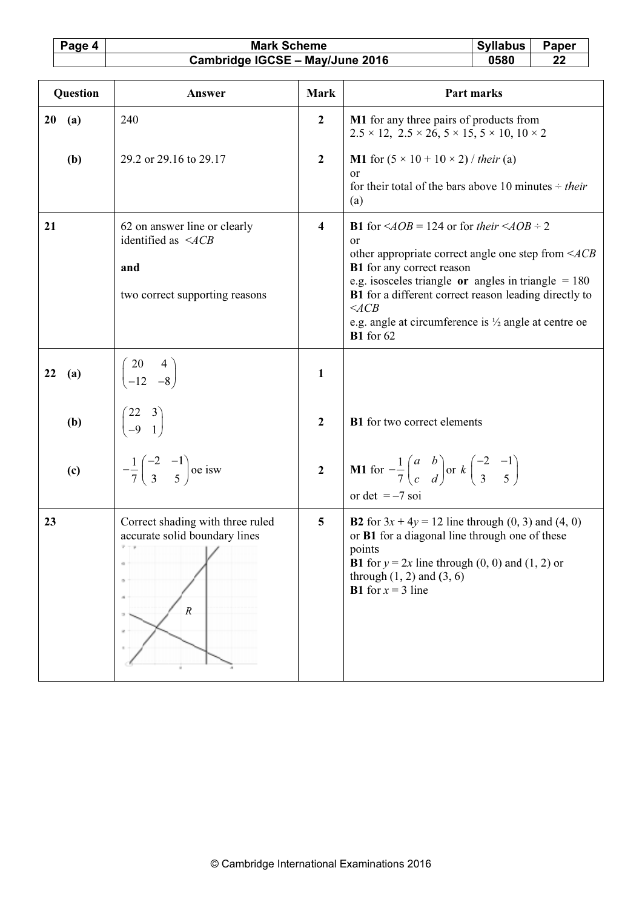Syllabus<br>0580 Paper<br>22 Page 4 **Mark Scheme** Cambridge IGCSE - May/June 2016

|           | Question | Answer                                                                                                                                  | <b>Mark</b>             | Part marks                                                                                                                                                                                                                                                                                                                                                                                                    |
|-----------|----------|-----------------------------------------------------------------------------------------------------------------------------------------|-------------------------|---------------------------------------------------------------------------------------------------------------------------------------------------------------------------------------------------------------------------------------------------------------------------------------------------------------------------------------------------------------------------------------------------------------|
| 20<br>(a) |          | 240                                                                                                                                     | $\boldsymbol{2}$        | M1 for any three pairs of products from<br>$2.5 \times 12$ , $2.5 \times 26$ , $5 \times 15$ , $5 \times 10$ , $10 \times 2$                                                                                                                                                                                                                                                                                  |
| (b)       |          | 29.2 or 29.16 to 29.17                                                                                                                  | $\boldsymbol{2}$        | <b>M1</b> for $(5 \times 10 + 10 \times 2)$ / their (a)<br><sub>or</sub><br>for their total of the bars above 10 minutes $\div$ their<br>(a)                                                                                                                                                                                                                                                                  |
| 21        |          | 62 on answer line or clearly<br>identified as $\leq ACB$<br>and<br>two correct supporting reasons                                       | $\overline{\mathbf{4}}$ | <b>B1</b> for $\angle AOB = 124$ or for their $\angle AOB = 2$<br><sub>or</sub><br>other appropriate correct angle one step from $\leq ACB$<br><b>B1</b> for any correct reason<br>e.g. isosceles triangle or angles in triangle $= 180$<br><b>B1</b> for a different correct reason leading directly to<br>$\leq$ ACB<br>e.g. angle at circumference is $\frac{1}{2}$ angle at centre oe<br><b>B1</b> for 62 |
| 22<br>(a) |          | $\begin{pmatrix} 20 & 4 \\ -12 & -8 \end{pmatrix}$                                                                                      | $\mathbf{1}$            |                                                                                                                                                                                                                                                                                                                                                                                                               |
|           | (b)      | $(-12 - 8)$<br>$\begin{pmatrix} 22 & 3 \\ -9 & 1 \end{pmatrix}$<br>$-\frac{1}{7} \begin{pmatrix} -2 & -1 \\ 3 & 5 \end{pmatrix}$ oe isw | $\overline{2}$          | <b>B1</b> for two correct elements                                                                                                                                                                                                                                                                                                                                                                            |
| (c)       |          |                                                                                                                                         | $\overline{2}$          | <b>M1</b> for $-\frac{1}{7}\begin{pmatrix} a & b \\ c & d \end{pmatrix}$ or $k\begin{pmatrix} -2 & -1 \\ 3 & 5 \end{pmatrix}$<br>or det $=-7$ soi                                                                                                                                                                                                                                                             |
| 23        |          | Correct shading with three ruled<br>accurate solid boundary lines<br>$\overline{R}$                                                     | 5                       | <b>B2</b> for $3x + 4y = 12$ line through (0, 3) and (4, 0)<br>or B1 for a diagonal line through one of these<br>points<br><b>B1</b> for $y = 2x$ line through $(0, 0)$ and $(1, 2)$ or<br>through $(1, 2)$ and $(3, 6)$<br><b>B1</b> for $x = 3$ line                                                                                                                                                        |